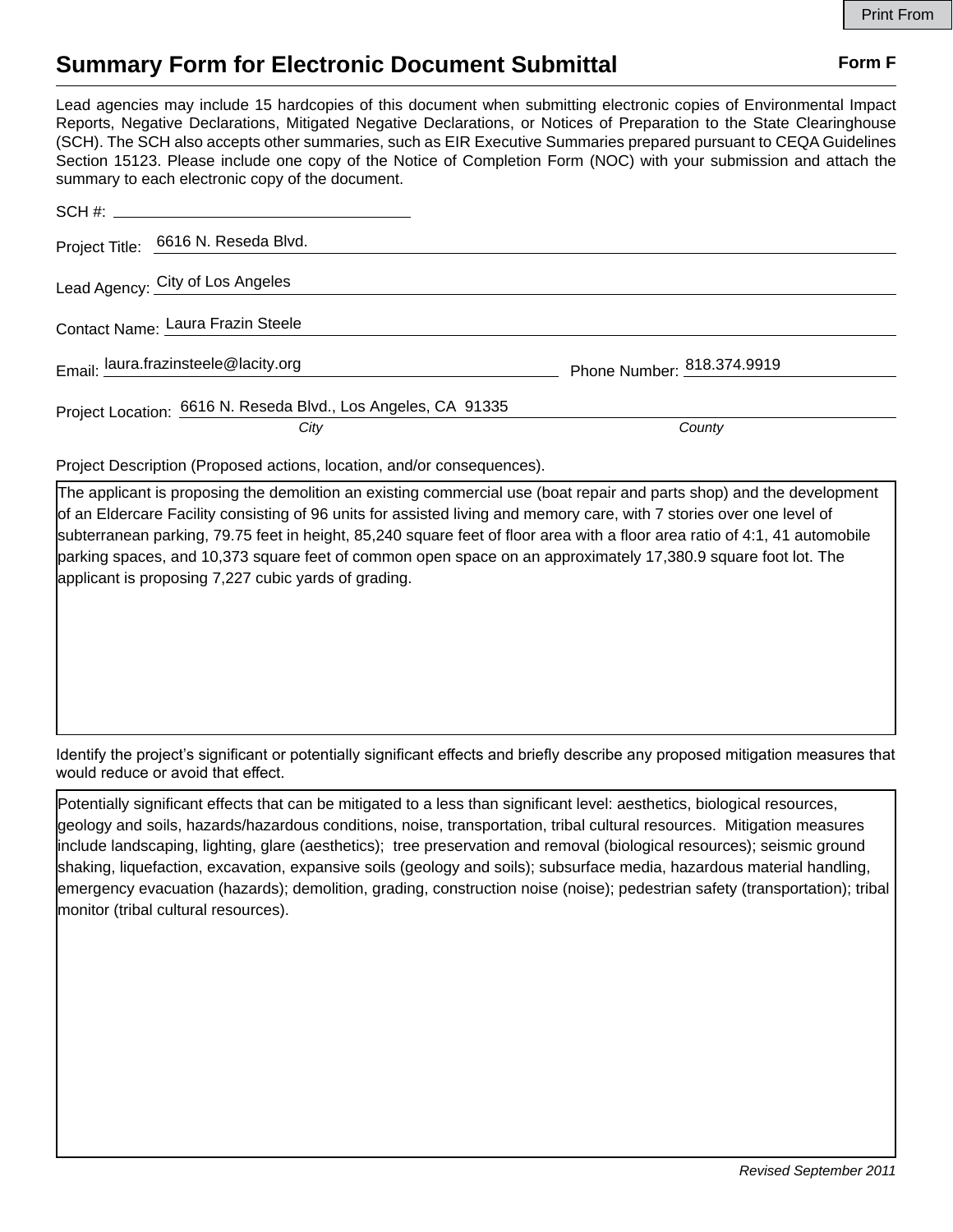## **Summary Form for Electronic Document Submittal Form F Form F**

Lead agencies may include 15 hardcopies of this document when submitting electronic copies of Environmental Impact Reports, Negative Declarations, Mitigated Negative Declarations, or Notices of Preparation to the State Clearinghouse (SCH). The SCH also accepts other summaries, such as EIR Executive Summaries prepared pursuant to CEQA Guidelines Section 15123. Please include one copy of the Notice of Completion Form (NOC) with your submission and attach the summary to each electronic copy of the document.

| Project Title: 6616 N. Reseda Blvd.                           |                            |
|---------------------------------------------------------------|----------------------------|
| Lead Agency: City of Los Angeles                              |                            |
| Contact Name: Laura Frazin Steele                             |                            |
| Email: laura.frazinsteele@lacity.org                          | Phone Number: 818.374.9919 |
| Project Location: 6616 N. Reseda Blvd., Los Angeles, CA 91335 |                            |
| City                                                          | County                     |

Project Description (Proposed actions, location, and/or consequences).

The applicant is proposing the demolition an existing commercial use (boat repair and parts shop) and the development of an Eldercare Facility consisting of 96 units for assisted living and memory care, with 7 stories over one level of subterranean parking, 79.75 feet in height, 85,240 square feet of floor area with a floor area ratio of 4:1, 41 automobile parking spaces, and 10,373 square feet of common open space on an approximately 17,380.9 square foot lot. The applicant is proposing 7,227 cubic yards of grading.

Identify the project's significant or potentially significant effects and briefly describe any proposed mitigation measures that would reduce or avoid that effect.

Potentially significant effects that can be mitigated to a less than significant level: aesthetics, biological resources, geology and soils, hazards/hazardous conditions, noise, transportation, tribal cultural resources. Mitigation measures include landscaping, lighting, glare (aesthetics); tree preservation and removal (biological resources); seismic ground shaking, liquefaction, excavation, expansive soils (geology and soils); subsurface media, hazardous material handling, emergency evacuation (hazards); demolition, grading, construction noise (noise); pedestrian safety (transportation); tribal monitor (tribal cultural resources).